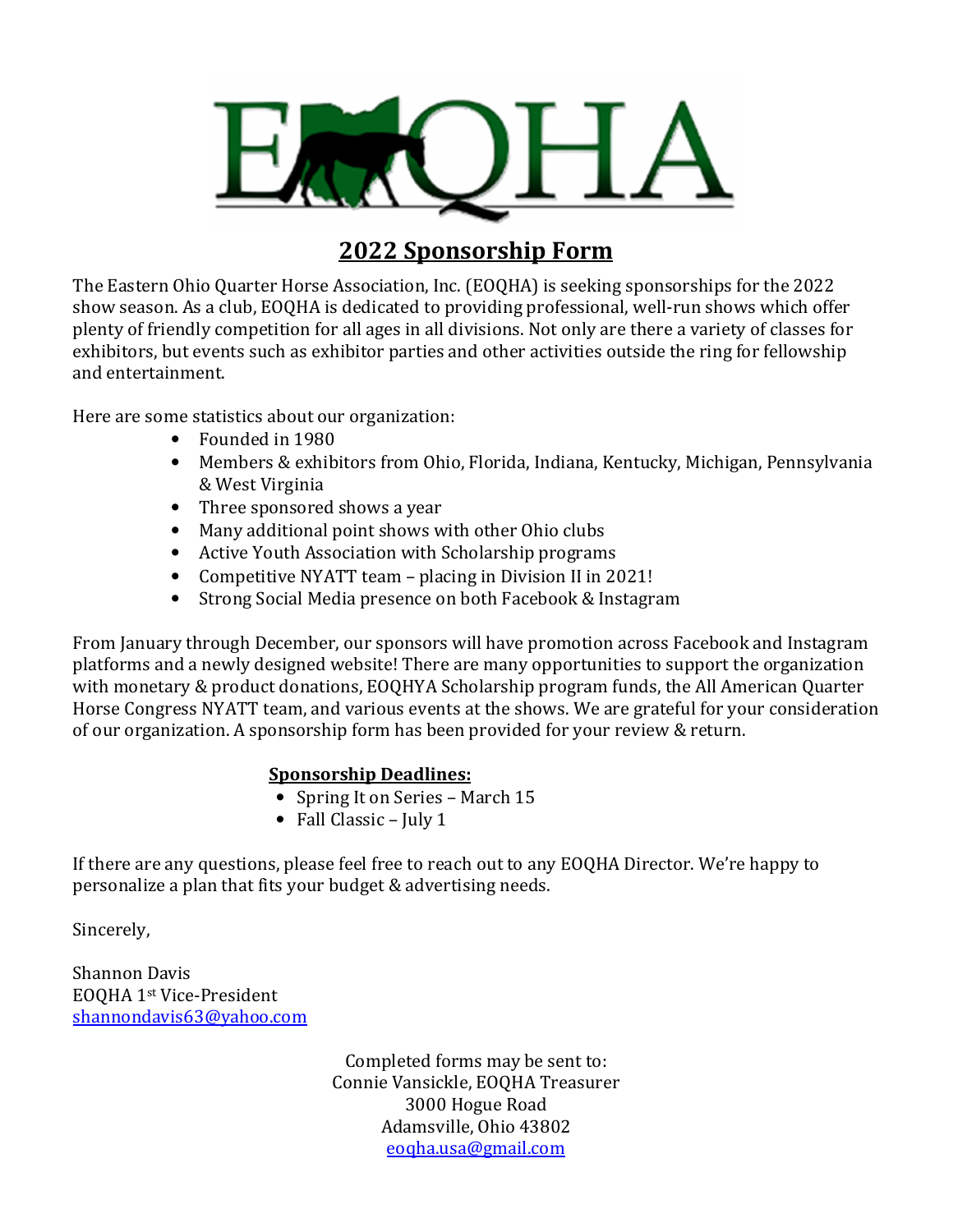

## **2022 Sponsorship Form**

The Eastern Ohio Quarter Horse Association, Inc. (EOQHA) is seeking sponsorships for the 2022 show season. As a club, EOQHA is dedicated to providing professional, well-run shows which offer plenty of friendly competition for all ages in all divisions. Not only are there a variety of classes for exhibitors, but events such as exhibitor parties and other activities outside the ring for fellowship and entertainment.

Here are some statistics about our organization:

- Founded in 1980
- Members & exhibitors from Ohio, Florida, Indiana, Kentucky, Michigan, Pennsylvania & West Virginia
- Three sponsored shows a year
- Many additional point shows with other Ohio clubs
- Active Youth Association with Scholarship programs
- Competitive NYATT team placing in Division II in 2021!
- Strong Social Media presence on both Facebook & Instagram

From January through December, our sponsors will have promotion across Facebook and Instagram platforms and a newly designed website! There are many opportunities to support the organization with monetary & product donations, EOQHYA Scholarship program funds, the All American Quarter Horse Congress NYATT team, and various events at the shows. We are grateful for your consideration of our organization. A sponsorship form has been provided for your review & return.

## **Sponsorship Deadlines:**

- Spring It on Series March 15
- Fall Classic July 1

If there are any questions, please feel free to reach out to any EOQHA Director. We're happy to personalize a plan that fits your budget & advertising needs.

Sincerely,

Shannon Davis EOQHA 1st Vice-President shannondavis63@yahoo.com

> Completed forms may be sent to: Connie Vansickle, EOQHA Treasurer 3000 Hogue Road Adamsville, Ohio 43802 eoqha.usa@gmail.com